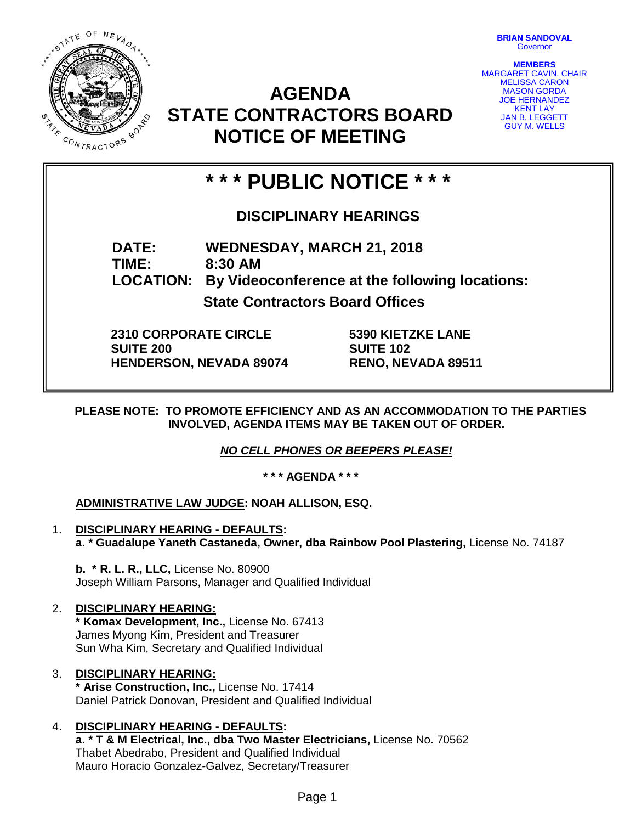STATE OF NEVADA **0216 MAR** CONTRACTORS

**BRIAN SANDOVAL Governor** 

**MEMBERS** MARGARET CAVIN, CHAIR MELISSA CARON MASON GORDA JOE HERNANDEZ KENT LAY JAN B. LEGGETT GUY M. WELLS

# **AGENDA STATE CONTRACTORS BOARD NOTICE OF MEETING**

# **\* \* \* PUBLIC NOTICE \* \* \***

## **DISCIPLINARY HEARINGS**

**DATE: WEDNESDAY, MARCH 21, 2018 TIME: 8:30 AM LOCATION: By Videoconference at the following locations: State Contractors Board Offices**

**2310 CORPORATE CIRCLE SUITE 200 HENDERSON, NEVADA 89074** **5390 KIETZKE LANE SUITE 102 RENO, NEVADA 89511**

**PLEASE NOTE: TO PROMOTE EFFICIENCY AND AS AN ACCOMMODATION TO THE PARTIES INVOLVED, AGENDA ITEMS MAY BE TAKEN OUT OF ORDER.**

*NO CELL PHONES OR BEEPERS PLEASE!* 

**\* \* \* AGENDA \* \* \***

**ADMINISTRATIVE LAW JUDGE: NOAH ALLISON, ESQ.**

- 1. **DISCIPLINARY HEARING - DEFAULTS: a. \* Guadalupe Yaneth Castaneda, Owner, dba Rainbow Pool Plastering,** License No. 74187
	- **b. \* R. L. R., LLC,** License No. 80900 Joseph William Parsons, Manager and Qualified Individual
- 2. **DISCIPLINARY HEARING: \* Komax Development, Inc.,** License No. 67413 James Myong Kim, President and Treasurer Sun Wha Kim, Secretary and Qualified Individual
- 3. **DISCIPLINARY HEARING: \* Arise Construction, Inc.,** License No. 17414 Daniel Patrick Donovan, President and Qualified Individual

### 4. **DISCIPLINARY HEARING - DEFAULTS:**

**a. \* T & M Electrical, Inc., dba Two Master Electricians,** License No. 70562 Thabet Abedrabo, President and Qualified Individual Mauro Horacio Gonzalez-Galvez, Secretary/Treasurer